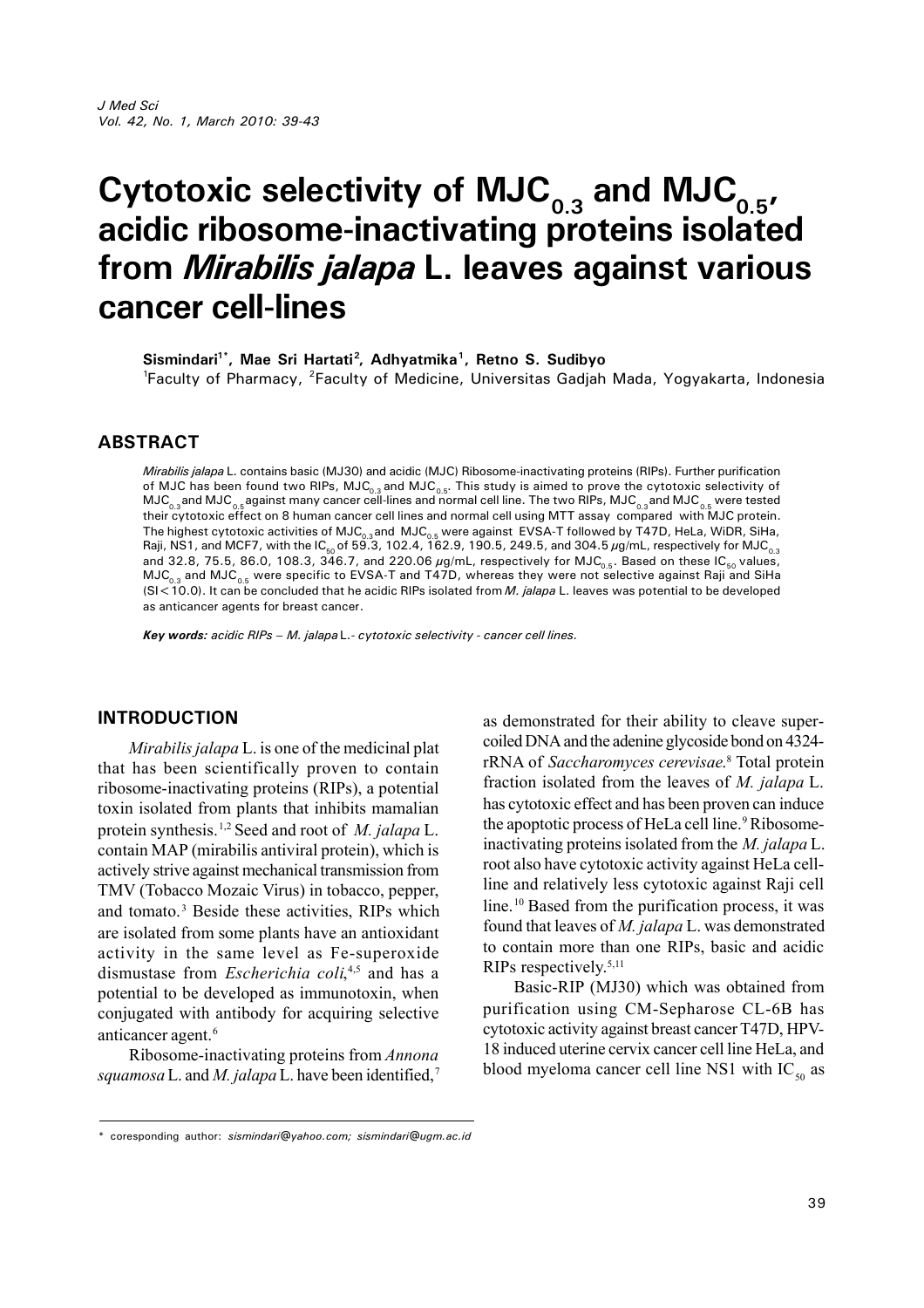# **Cytotoxic selectivity of MJC0.3 and MJC0.5, acidic ribosome-inactivating proteins isolated from** *Mirabilis jalapa* **L. leaves against various cancer cell-lines**

**Sismindari1\*, Mae Sri Hartati<sup>2</sup> , Adhyatmika<sup>1</sup> , Retno S. Sudibyo**

<sup>1</sup>Faculty of Pharmacy, <sup>2</sup>Faculty of Medicine, Universitas Gadjah Mada, Yogyakarta, Indonesia

## **ABSTRACT**

*Mirabilis jalapa* L. contains basic (MJ30) and acidic (MJC) Ribosome-inactivating proteins (RIPs). Further purification of MJC has been found two RIPs, MJC<sub>0.3</sub> and MJC<sub>0.5</sub>. This study is aimed to prove the cytotoxic selectivity of  $MJC_{0.3}$ and  $MJC_{0.5}$ against many cancer cell-lines and normal cell line. The two RIPs,  $MJC_{0.3}$  and  $MJC_{0.5}$  were tested their cytotoxic effect on 8 human cancer cell lines and normal cell using MTT assay compared with MJC protein. The highest cytotoxic activities of MJC $_{\rm 0.3}$ and MJC $_{\rm 0.5}$  were against EVSA-T followed by T47D, HeLa, WiDR, SiHa, Raji, NS1, and MCF7, with the IC<sub>50</sub> of 59.3, 102.4, 162.9, 190.5, 249.5, and 304.5  $\mu$ g/mL, respectively for MJC $_{\rm o.3}$ and 32.8, 75.5, 86.0, 108.3,  $346.7$ , and 220.06  $\mu$ g/mL, respectively for MJC<sub>0.5</sub>. Based on these IC<sub>50</sub> values,  $MJC_{0.3}$  and  $MJC_{0.5}$  were specific to EVSA-T and T47D, whereas they were not selective against Raji and SiHa (SI<10.0). It can be concluded that he acidic RIPs isolated from *M. jalapa* L. leaves was potential to be developed as anticancer agents for breast cancer.

*Key words: acidic RIPs – M. jalapa* L.*- cytotoxic selectivity - cancer cell lines.*

## **INTRODUCTION**

*Mirabilis jalapa* L. is one of the medicinal plat that has been scientifically proven to contain ribosome-inactivating proteins (RIPs), a potential toxin isolated from plants that inhibits mamalian protein synthesis.1,2 Seed and root of *M. jalapa* L. contain MAP (mirabilis antiviral protein), which is actively strive against mechanical transmission from TMV (Tobacco Mozaic Virus) in tobacco, pepper, and tomato.<sup>3</sup> Beside these activities, RIPs which are isolated from some plants have an antioxidant activity in the same level as Fe-superoxide dismustase from *Escherichia coli*, 4,5 and has a potential to be developed as immunotoxin, when conjugated with antibody for acquiring selective anticancer agent.<sup>6</sup>

Ribosome-inactivating proteins from *Annona squamosa* L. and *M. jalapa* L. have been identified,<sup>7</sup> as demonstrated for their ability to cleave supercoiled DNA and the adenine glycoside bond on 4324 rRNA of *Saccharomyces cerevisae*. <sup>8</sup> Total protein fraction isolated from the leaves of *M. jalapa* L. has cytotoxic effect and has been proven can induce the apoptotic process of HeLa cell line.<sup>9</sup>Ribosomeinactivating proteins isolated from the *M. jalapa* L. root also have cytotoxic activity against HeLa cellline and relatively less cytotoxic against Raji cell line.<sup>10</sup> Based from the purification process, it was found that leaves of *M. jalapa* L. was demonstrated to contain more than one RIPs, basic and acidic RIPs respectively.5,11

Basic-RIP (MJ30) which was obtained from purification using CM-Sepharose CL-6B has cytotoxic activity against breast cancer T47D, HPV-18 induced uterine cervix cancer cell line HeLa, and blood myeloma cancer cell line NS1 with  $IC_{50}$  as

<sup>\*</sup> coresponding author: *sismindari@yahoo.com; sismindari@ugm.ac.id*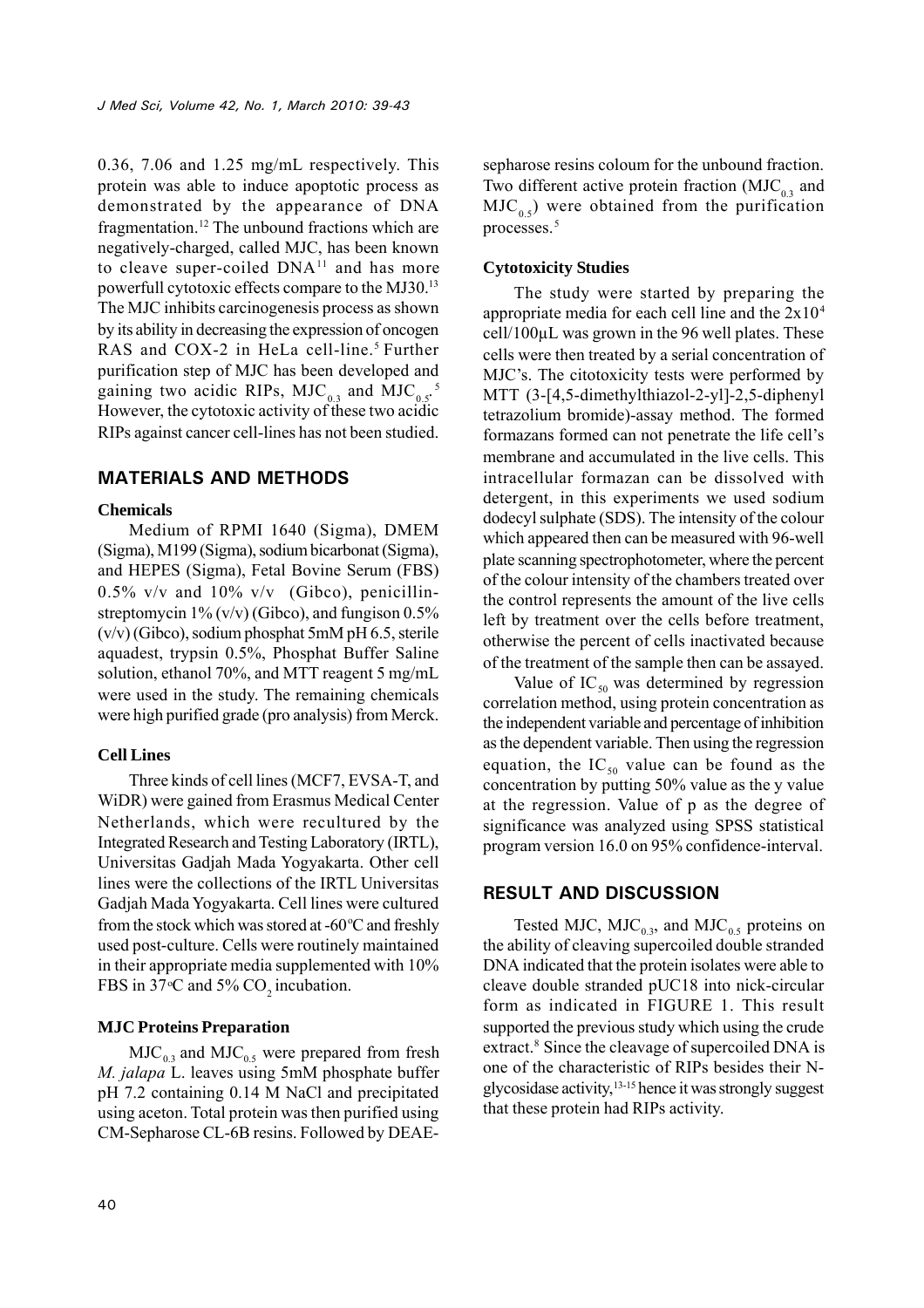0.36, 7.06 and 1.25 mg/mL respectively. This protein was able to induce apoptotic process as demonstrated by the appearance of DNA fragmentation.<sup>12</sup> The unbound fractions which are negatively-charged, called MJC, has been known to cleave super-coiled  $DNA^{11}$  and has more powerfull cytotoxic effects compare to the MJ30.<sup>13</sup> The MJC inhibits carcinogenesis process as shown by its ability in decreasing the expression of oncogen RAS and COX-2 in HeLa cell-line.<sup>5</sup> Further purification step of MJC has been developed and gaining two acidic RIPs,  $MJC_{0.3}$  and  $MJC_{0.5}$ .<sup>5</sup> However, the cytotoxic activity of these two acidic RIPs against cancer cell-lines has not been studied.

## **MATERIALS AND METHODS**

#### **Chemicals**

Medium of RPMI 1640 (Sigma), DMEM (Sigma), M199 (Sigma), sodium bicarbonat (Sigma), and HEPES (Sigma), Fetal Bovine Serum (FBS)  $0.5\%$  v/v and  $10\%$  v/v (Gibco), penicillinstreptomycin  $1\%$  (v/v) (Gibco), and fungison 0.5% (v/v) (Gibco), sodium phosphat 5mM pH 6.5, sterile aquadest, trypsin 0.5%, Phosphat Buffer Saline solution, ethanol 70%, and MTT reagent 5 mg/mL were used in the study. The remaining chemicals were high purified grade (pro analysis) from Merck.

#### **Cell Lines**

Three kinds of cell lines (MCF7, EVSA-T, and WiDR) were gained from Erasmus Medical Center Netherlands, which were recultured by the Integrated Research and Testing Laboratory (IRTL), Universitas Gadjah Mada Yogyakarta. Other cell lines were the collections of the IRTL Universitas Gadjah Mada Yogyakarta. Cell lines were cultured from the stock which was stored at -60 $\degree$ C and freshly used post-culture. Cells were routinely maintained in their appropriate media supplemented with 10% FBS in 37 °C and 5%  $CO_2$  incubation.

## **MJC Proteins Preparation**

 $MIC_{0.3}$  and  $MIC_{0.5}$  were prepared from fresh *M. jalapa* L. leaves using 5mM phosphate buffer pH 7.2 containing 0.14 M NaCl and precipitated using aceton. Total protein was then purified using CM-Sepharose CL-6B resins. Followed by DEAE-

sepharose resins coloum for the unbound fraction. Two different active protein fraction  $(MJC_{0.3})$  and  $MIC<sub>0.5</sub>$ ) were obtained from the purification processes.<sup>5</sup>

#### **Cytotoxicity Studies**

The study were started by preparing the appropriate media for each cell line and the  $2x10<sup>4</sup>$ cell/100µL was grown in the 96 well plates. These cells were then treated by a serial concentration of MJC's. The citotoxicity tests were performed by MTT (3-[4,5-dimethylthiazol-2-yl]-2,5-diphenyl tetrazolium bromide)-assay method. The formed formazans formed can not penetrate the life cell's membrane and accumulated in the live cells. This intracellular formazan can be dissolved with detergent, in this experiments we used sodium dodecyl sulphate (SDS). The intensity of the colour which appeared then can be measured with 96-well plate scanning spectrophotometer, where the percent of the colour intensity of the chambers treated over the control represents the amount of the live cells left by treatment over the cells before treatment, otherwise the percent of cells inactivated because of the treatment of the sample then can be assayed.

Value of  $IC_{50}$  was determined by regression correlation method, using protein concentration as the independent variable and percentage of inhibition as the dependent variable. Then using the regression equation, the  $IC_{50}$  value can be found as the concentration by putting 50% value as the y value at the regression. Value of p as the degree of significance was analyzed using SPSS statistical program version 16.0 on 95% confidence-interval.

# **RESULT AND DISCUSSION**

Tested MJC, MJC<sub>0.3</sub>, and MJC<sub>0.5</sub> proteins on the ability of cleaving supercoiled double stranded DNA indicated that the protein isolates were able to cleave double stranded pUC18 into nick-circular form as indicated in FIGURE 1. This result supported the previous study which using the crude extract.<sup>8</sup> Since the cleavage of supercoiled DNA is one of the characteristic of RIPs besides their Nglycosidase activity,13-15 hence it was strongly suggest that these protein had RIPs activity.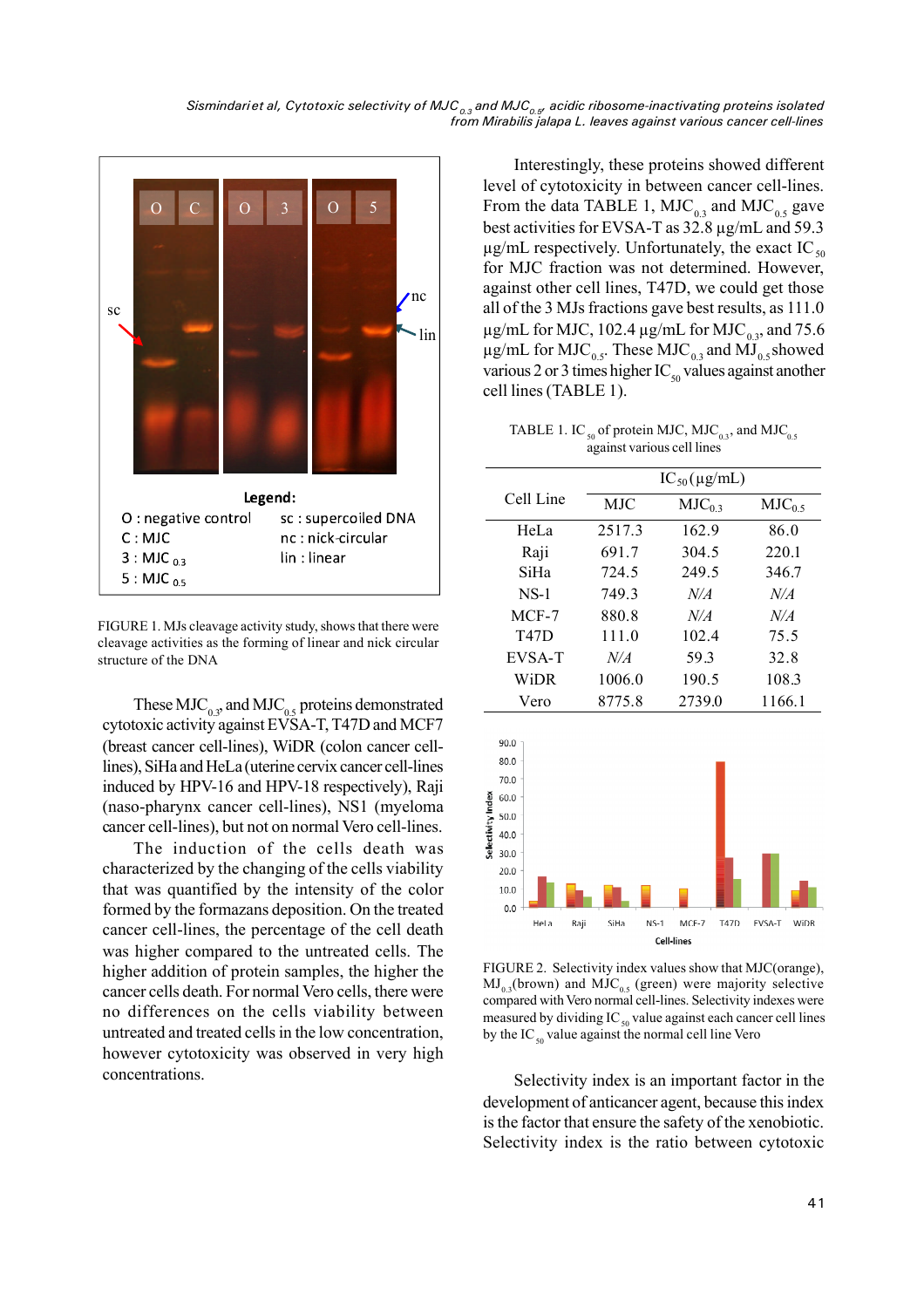*Sismindariet al, Cytotoxic selectivity of MJC0.3 and MJC0.5, acidic ribosome-inactivating proteins isolated from Mirabilis jalapa L. leaves against various cancer cell-lines*



FIGURE 1. MJs cleavage activity study, shows that there were cleavage activities as the forming of linear and nick circular structure of the DNA

These  $MIC_{0.3}$  and  $MIC_{0.5}$  proteins demonstrated cytotoxic activity against EVSA-T, T47D and MCF7 (breast cancer cell-lines), WiDR (colon cancer celllines), SiHa and HeLa (uterine cervix cancer cell-lines induced by HPV-16 and HPV-18 respectively), Raji (naso-pharynx cancer cell-lines), NS1 (myeloma cancer cell-lines), but not on normal Vero cell-lines.

The induction of the cells death was characterized by the changing of the cells viability that was quantified by the intensity of the color formed by the formazans deposition. On the treated cancer cell-lines, the percentage of the cell death was higher compared to the untreated cells. The higher addition of protein samples, the higher the cancer cells death. For normal Vero cells, there were no differences on the cells viability between untreated and treated cells in the low concentration, however cytotoxicity was observed in very high concentrations.

Interestingly, these proteins showed different level of cytotoxicity in between cancer cell-lines. From the data TABLE 1,  $MIC_{0.3}$  and  $MIC_{0.5}$  gave best activities for EVSA-T as 32.8 µg/mL and 59.3  $\mu$ g/mL respectively. Unfortunately, the exact IC<sub>50</sub> for MJC fraction was not determined. However, against other cell lines, T47D, we could get those all of the 3 MJs fractions gave best results, as 111.0  $\mu$ g/mL for MJC, 102.4  $\mu$ g/mL for MJC<sub>0.3</sub>, and 75.6  $\mu$ g/mL for MJC<sub>0.5</sub>. These MJC<sub>0.3</sub> and MJ<sub>0.5</sub> showed various 2 or 3 times higher  $IC_{50}$  values against another cell lines (TABLE 1).

TABLE 1. IC<sub>50</sub> of protein MJC, MJC<sub>0.3</sub>, and MJC<sub>0.5</sub> against various cell lines

| <b>MJC</b><br>2517.3<br>691.7<br>724.5<br>749.3 | $IC_{50}(\mu\text{g/mL})$<br>$MIC_{03}$<br>162.9<br>304.5<br>249.5<br>N/A | $MIC_{0.5}$<br>86.0<br>220.1<br>346.7<br>N/A |
|-------------------------------------------------|---------------------------------------------------------------------------|----------------------------------------------|
|                                                 |                                                                           |                                              |
|                                                 |                                                                           |                                              |
|                                                 |                                                                           |                                              |
|                                                 |                                                                           |                                              |
|                                                 |                                                                           |                                              |
|                                                 |                                                                           |                                              |
| 880.8                                           | N/A                                                                       | N/A                                          |
| 111.0                                           | 102.4                                                                     | 75.5                                         |
| N/A                                             | 59.3                                                                      | 32.8                                         |
|                                                 |                                                                           | 108.3                                        |
|                                                 |                                                                           | 1166.1                                       |
|                                                 | 1006.0                                                                    | 190.5<br>8775.8<br>2739.0                    |



FIGURE 2. Selectivity index values show that MJC(orange),  $MJ_{0.3}$ (brown) and  $MIC_{0.5}$  (green) were majority selective compared with Vero normal cell-lines. Selectivity indexes were measured by dividing  $IC_{50}$  value against each cancer cell lines by the IC $_{50}$  value against the normal cell line Vero

Selectivity index is an important factor in the development of anticancer agent, because this index is the factor that ensure the safety of the xenobiotic. Selectivity index is the ratio between cytotoxic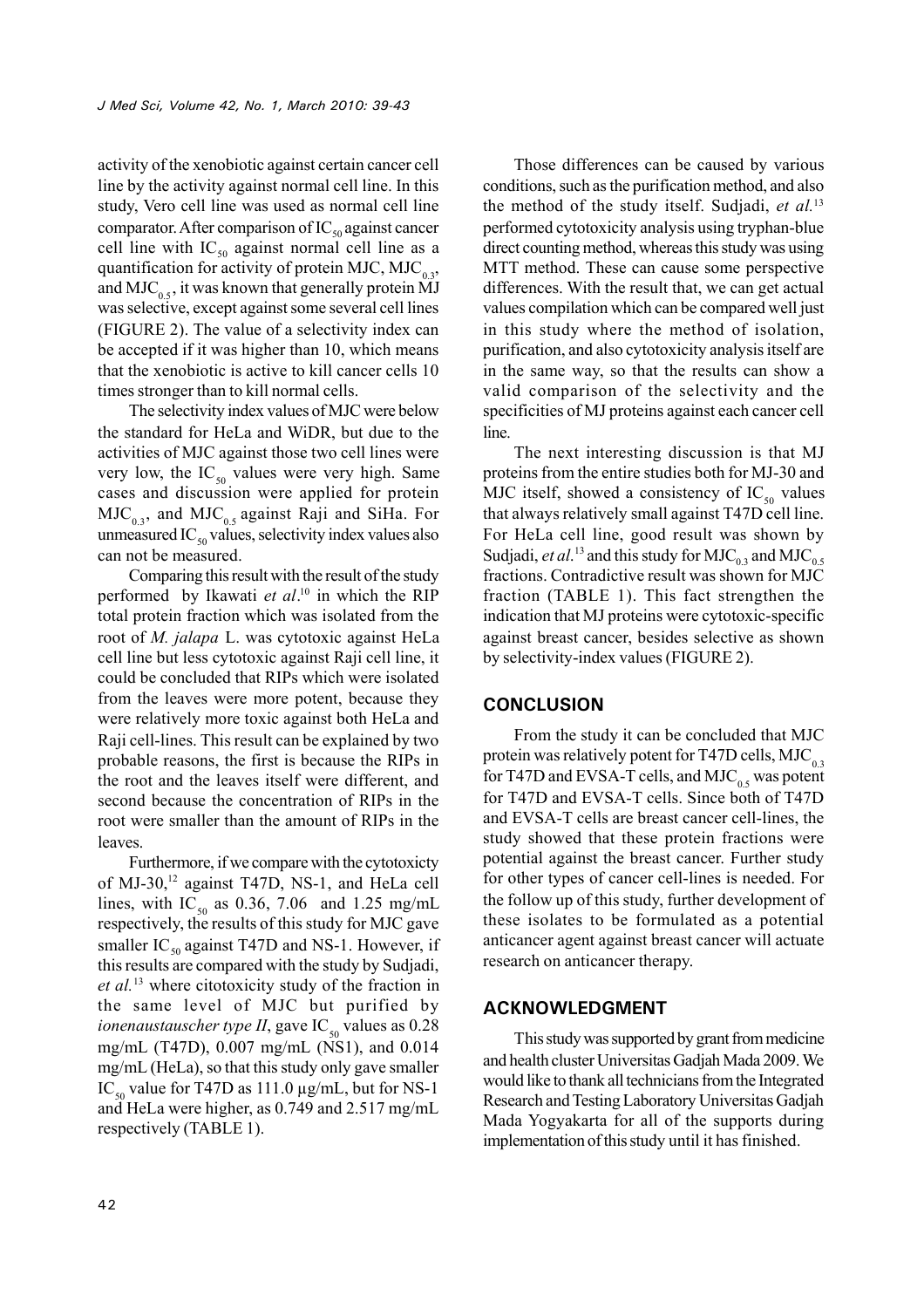activity of the xenobiotic against certain cancer cell line by the activity against normal cell line. In this study, Vero cell line was used as normal cell line comparator. After comparison of  $IC_{50}$  against cancer cell line with  $IC_{50}$  against normal cell line as a quantification for activity of protein MJC, MJC<sub>0.3</sub>, and MJC<sub>0.5</sub>, it was known that generally protein MJ was selective, except against some several cell lines (FIGURE 2). The value of a selectivity index can be accepted if it was higher than 10, which means that the xenobiotic is active to kill cancer cells 10 times stronger than to kill normal cells.

The selectivity index values of MJC were below the standard for HeLa and WiDR, but due to the activities of MJC against those two cell lines were very low, the  $IC_{50}$  values were very high. Same cases and discussion were applied for protein  $MIC_{0.3}$ , and  $MIC_{0.5}$  against Raji and SiHa. For unmeasured IC $_{50}$  values, selectivity index values also can not be measured.

Comparing this result with the result of the study performed by Ikawati *et al*. <sup>10</sup> in which the RIP total protein fraction which was isolated from the root of *M. jalapa* L. was cytotoxic against HeLa cell line but less cytotoxic against Raji cell line, it could be concluded that RIPs which were isolated from the leaves were more potent, because they were relatively more toxic against both HeLa and Raji cell-lines. This result can be explained by two probable reasons, the first is because the RIPs in the root and the leaves itself were different, and second because the concentration of RIPs in the root were smaller than the amount of RIPs in the leaves.

Furthermore, if we compare with the cytotoxicty of MJ-30,<sup>12</sup> against T47D, NS-1, and HeLa cell lines, with IC<sub>50</sub> as 0.36, 7.06 and 1.25 mg/mL respectively, the results of this study for MJC gave smaller IC<sub>50</sub> against T47D and NS-1. However, if this results are compared with the study by Sudjadi, *et al.*<sup>13</sup> where citotoxicity study of the fraction in the same level of MJC but purified by *ionenaustauscher type II*, gave IC<sub>50</sub> values as  $0.28$ mg/mL (T47D), 0.007 mg/mL (NS1), and 0.014 mg/mL (HeLa), so that this study only gave smaller IC<sub>50</sub> value for T47D as 111.0  $\mu$ g/mL, but for NS-1 and HeLa were higher, as 0.749 and 2.517 mg/mL respectively (TABLE 1).

Those differences can be caused by various conditions, such as the purification method, and also the method of the study itself. Sudjadi, *et al.*<sup>13</sup> performed cytotoxicity analysis using tryphan-blue direct counting method, whereas this study was using MTT method. These can cause some perspective differences. With the result that, we can get actual values compilation which can be compared well just in this study where the method of isolation, purification, and also cytotoxicity analysis itself are in the same way, so that the results can show a valid comparison of the selectivity and the specificities of MJ proteins against each cancer cell line.

The next interesting discussion is that MJ proteins from the entire studies both for MJ-30 and MJC itself, showed a consistency of  $IC_{50}$  values that always relatively small against T47D cell line. For HeLa cell line, good result was shown by Sudjadi, *et al.*<sup>13</sup> and this study for  $MIC_{0.3}$  and  $MIC_{0.5}$ fractions. Contradictive result was shown for MJC fraction (TABLE 1). This fact strengthen the indication that MJ proteins were cytotoxic-specific against breast cancer, besides selective as shown by selectivity-index values (FIGURE 2).

## **CONCLUSION**

From the study it can be concluded that MJC protein was relatively potent for T47D cells,  $MJC_{0.3}$ for T47D and EVSA-T cells, and MJC<sub>0.5</sub> was potent for T47D and EVSA-T cells. Since both of T47D and EVSA-T cells are breast cancer cell-lines, the study showed that these protein fractions were potential against the breast cancer. Further study for other types of cancer cell-lines is needed. For the follow up of this study, further development of these isolates to be formulated as a potential anticancer agent against breast cancer will actuate research on anticancer therapy.

#### **ACKNOWLEDGMENT**

This study was supported by grant from medicine and health cluster Universitas Gadjah Mada 2009. We would like to thank all technicians from the Integrated Research and Testing Laboratory Universitas Gadjah Mada Yogyakarta for all of the supports during implementation of this study until it has finished.